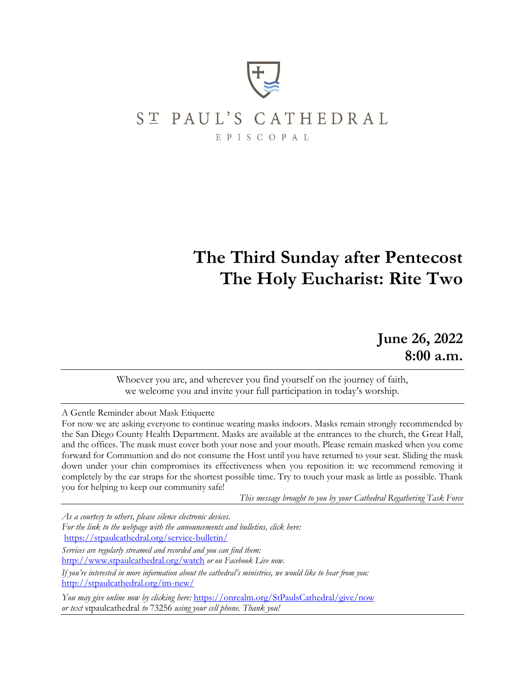

# ST PAUL'S CATHEDRAL EPISCOPAL

# **The Third Sunday after Pentecost The Holy Eucharist: Rite Two**

**June 26, 2022 8:00 a.m.**

Whoever you are, and wherever you find yourself on the journey of faith, we welcome you and invite your full participation in today's worship.

A Gentle Reminder about Mask Etiquette

For now we are asking everyone to continue wearing masks indoors. Masks remain strongly recommended by the San Diego County Health Department. Masks are available at the entrances to the church, the Great Hall, and the offices. The mask must cover both your nose and your mouth. Please remain masked when you come forward for Communion and do not consume the Host until you have returned to your seat. Sliding the mask down under your chin compromises its effectiveness when you reposition it: we recommend removing it completely by the ear straps for the shortest possible time. Try to touch your mask as little as possible. Thank you for helping to keep our community safe!

*This message brought to you by your Cathedral Regathering Task Force*

*As a courtesy to others, please silence electronic devices. For the link to the webpage with the announcements and bulletins, click here:*  <https://stpaulcathedral.org/service-bulletin/> *Services are regularly streamed and recorded and you can find them:* <http://www.stpaulcathedral.org/watch> *or on Facebook Live now. If you're interested in more information about the cathedral's ministries, we would like to hear from you:*  <http://stpaulcathedral.org/im-new/> *You may give online now by clicking here:* <https://onrealm.org/StPaulsCathedral/give/now> *or text* stpaulcathedral *to* 73256 *using your cell phone. Thank you!*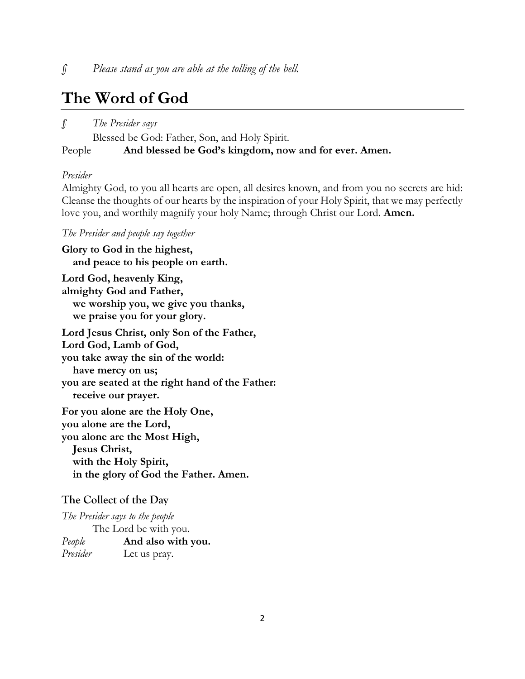# **The Word of God**

*§ The Presider says*

Blessed be God: Father, Son, and Holy Spirit.

People **And blessed be God's kingdom, now and for ever. Amen.**

#### *Presider*

Almighty God, to you all hearts are open, all desires known, and from you no secrets are hid: Cleanse the thoughts of our hearts by the inspiration of your Holy Spirit, that we may perfectly love you, and worthily magnify your holy Name; through Christ our Lord. **Amen.**

#### *The Presider and people say together*

**Glory to God in the highest, and peace to his people on earth. Lord God, heavenly King, almighty God and Father, we worship you, we give you thanks, we praise you for your glory. Lord Jesus Christ, only Son of the Father, Lord God, Lamb of God, you take away the sin of the world: have mercy on us; you are seated at the right hand of the Father: receive our prayer. For you alone are the Holy One, you alone are the Lord, you alone are the Most High, Jesus Christ, with the Holy Spirit, in the glory of God the Father. Amen.**

### **The Collect of the Day**

*The Presider says to the people* The Lord be with you. *People* **And also with you.** *Presider* Let us pray.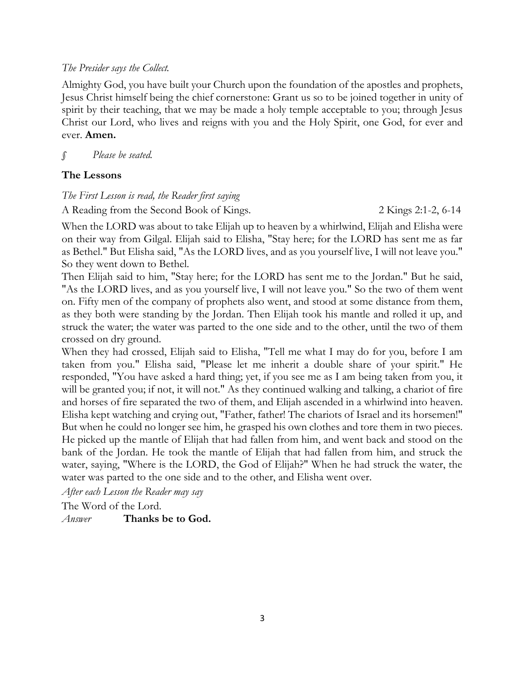### *The Presider says the Collect.*

Almighty God, you have built your Church upon the foundation of the apostles and prophets, Jesus Christ himself being the chief cornerstone: Grant us so to be joined together in unity of spirit by their teaching, that we may be made a holy temple acceptable to you; through Jesus Christ our Lord, who lives and reigns with you and the Holy Spirit, one God, for ever and ever. **Amen.**

*§ Please be seated.*

# **The Lessons**

## *The First Lesson is read, the Reader first saying*

A Reading from the Second Book of Kings. 2 Kings 2:1-2, 6-14

When the LORD was about to take Elijah up to heaven by a whirlwind, Elijah and Elisha were on their way from Gilgal. Elijah said to Elisha, "Stay here; for the LORD has sent me as far as Bethel." But Elisha said, "As the LORD lives, and as you yourself live, I will not leave you." So they went down to Bethel.

Then Elijah said to him, "Stay here; for the LORD has sent me to the Jordan." But he said, "As the LORD lives, and as you yourself live, I will not leave you." So the two of them went on. Fifty men of the company of prophets also went, and stood at some distance from them, as they both were standing by the Jordan. Then Elijah took his mantle and rolled it up, and struck the water; the water was parted to the one side and to the other, until the two of them crossed on dry ground.

When they had crossed, Elijah said to Elisha, "Tell me what I may do for you, before I am taken from you." Elisha said, "Please let me inherit a double share of your spirit." He responded, "You have asked a hard thing; yet, if you see me as I am being taken from you, it will be granted you; if not, it will not." As they continued walking and talking, a chariot of fire and horses of fire separated the two of them, and Elijah ascended in a whirlwind into heaven. Elisha kept watching and crying out, "Father, father! The chariots of Israel and its horsemen!" But when he could no longer see him, he grasped his own clothes and tore them in two pieces. He picked up the mantle of Elijah that had fallen from him, and went back and stood on the bank of the Jordan. He took the mantle of Elijah that had fallen from him, and struck the water, saying, "Where is the LORD, the God of Elijah?" When he had struck the water, the water was parted to the one side and to the other, and Elisha went over.

*After each Lesson the Reader may say*

The Word of the Lord.

*Answer* **Thanks be to God.**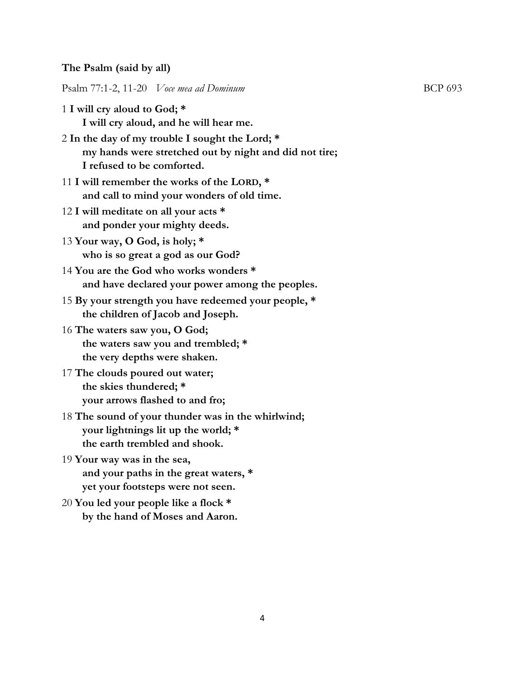#### **The Psalm (said by all)**

Psalm 77:1-2, 11-20 *Voce mea ad Dominum*BCP 693

- 1 **I will cry aloud to God; \* I will cry aloud, and he will hear me.**
- 2 **In the day of my trouble I sought the Lord; \* my hands were stretched out by night and did not tire; I refused to be comforted.**
- 11 **I will remember the works of the LORD, \* and call to mind your wonders of old time.**
- 12 **I will meditate on all your acts \* and ponder your mighty deeds.**
- 13 **Your way, O God, is holy; \* who is so great a god as our God?**
- 14 **You are the God who works wonders \* and have declared your power among the peoples.**
- 15 **By your strength you have redeemed your people, \* the children of Jacob and Joseph.**
- 16 **The waters saw you, O God; the waters saw you and trembled; \* the very depths were shaken.**
- 17 **The clouds poured out water; the skies thundered; \* your arrows flashed to and fro;**
- 18 **The sound of your thunder was in the whirlwind; your lightnings lit up the world; \* the earth trembled and shook.**
- 19 **Your way was in the sea, and your paths in the great waters, \* yet your footsteps were not seen.**
- 20 **You led your people like a flock \* by the hand of Moses and Aaron.**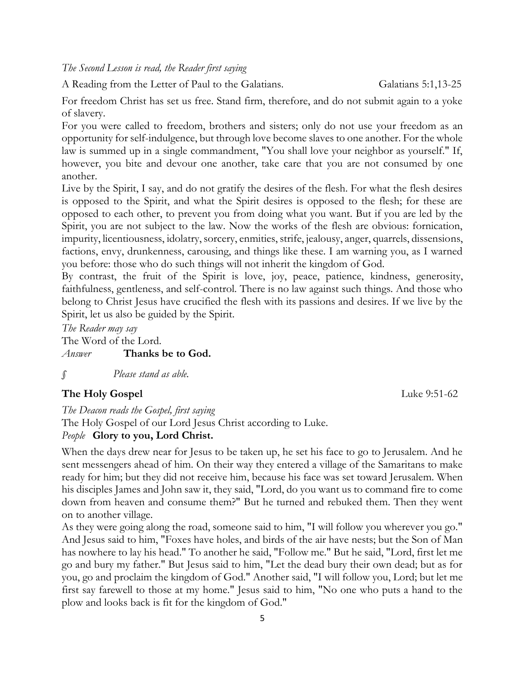*The Second Lesson is read, the Reader first saying*

A Reading from the Letter of Paul to the Galatians. Galatians 5:1,13-25

For freedom Christ has set us free. Stand firm, therefore, and do not submit again to a yoke of slavery.

For you were called to freedom, brothers and sisters; only do not use your freedom as an opportunity for self-indulgence, but through love become slaves to one another. For the whole law is summed up in a single commandment, "You shall love your neighbor as yourself." If, however, you bite and devour one another, take care that you are not consumed by one another.

Live by the Spirit, I say, and do not gratify the desires of the flesh. For what the flesh desires is opposed to the Spirit, and what the Spirit desires is opposed to the flesh; for these are opposed to each other, to prevent you from doing what you want. But if you are led by the Spirit, you are not subject to the law. Now the works of the flesh are obvious: fornication, impurity, licentiousness, idolatry, sorcery, enmities, strife, jealousy, anger, quarrels, dissensions, factions, envy, drunkenness, carousing, and things like these. I am warning you, as I warned you before: those who do such things will not inherit the kingdom of God.

By contrast, the fruit of the Spirit is love, joy, peace, patience, kindness, generosity, faithfulness, gentleness, and self-control. There is no law against such things. And those who belong to Christ Jesus have crucified the flesh with its passions and desires. If we live by the Spirit, let us also be guided by the Spirit.

*The Reader may say* The Word of the Lord. *Answer* **Thanks be to God.**

*§ Please stand as able.*

### **The Holy Gospel** Luke 9:51-62

*The Deacon reads the Gospel, first saying* The Holy Gospel of our Lord Jesus Christ according to Luke. *People* **Glory to you, Lord Christ.**

When the days drew near for Jesus to be taken up, he set his face to go to Jerusalem. And he sent messengers ahead of him. On their way they entered a village of the Samaritans to make ready for him; but they did not receive him, because his face was set toward Jerusalem. When his disciples James and John saw it, they said, "Lord, do you want us to command fire to come down from heaven and consume them?" But he turned and rebuked them. Then they went on to another village.

As they were going along the road, someone said to him, "I will follow you wherever you go." And Jesus said to him, "Foxes have holes, and birds of the air have nests; but the Son of Man has nowhere to lay his head." To another he said, "Follow me." But he said, "Lord, first let me go and bury my father." But Jesus said to him, "Let the dead bury their own dead; but as for you, go and proclaim the kingdom of God." Another said, "I will follow you, Lord; but let me first say farewell to those at my home." Jesus said to him, "No one who puts a hand to the plow and looks back is fit for the kingdom of God."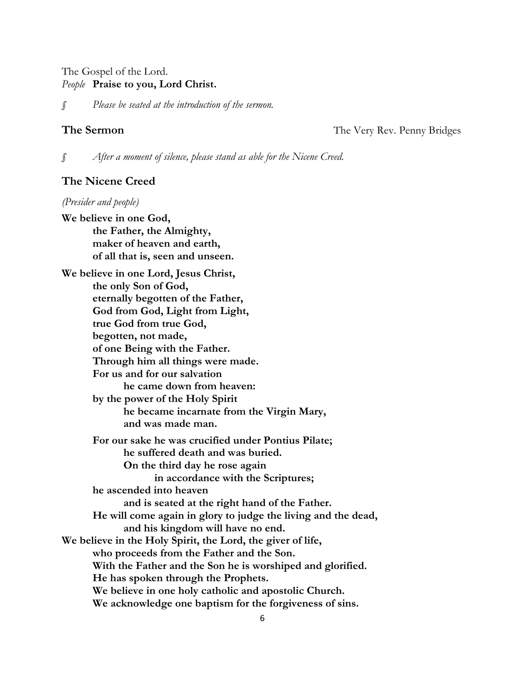The Gospel of the Lord. *People* **Praise to you, Lord Christ.**

*§ Please be seated at the introduction of the sermon.*

**The Sermon The Very Rev. Penny Bridges** 

*§ After a moment of silence, please stand as able for the Nicene Creed.*

#### **The Nicene Creed**

#### *(Presider and people)*

**We believe in one God, the Father, the Almighty, maker of heaven and earth, of all that is, seen and unseen. We believe in one Lord, Jesus Christ, the only Son of God, eternally begotten of the Father, God from God, Light from Light, true God from true God, begotten, not made, of one Being with the Father. Through him all things were made. For us and for our salvation he came down from heaven: by the power of the Holy Spirit he became incarnate from the Virgin Mary, and was made man. For our sake he was crucified under Pontius Pilate; he suffered death and was buried. On the third day he rose again in accordance with the Scriptures; he ascended into heaven and is seated at the right hand of the Father. He will come again in glory to judge the living and the dead, and his kingdom will have no end. We believe in the Holy Spirit, the Lord, the giver of life, who proceeds from the Father and the Son. With the Father and the Son he is worshiped and glorified. He has spoken through the Prophets. We believe in one holy catholic and apostolic Church. We acknowledge one baptism for the forgiveness of sins.**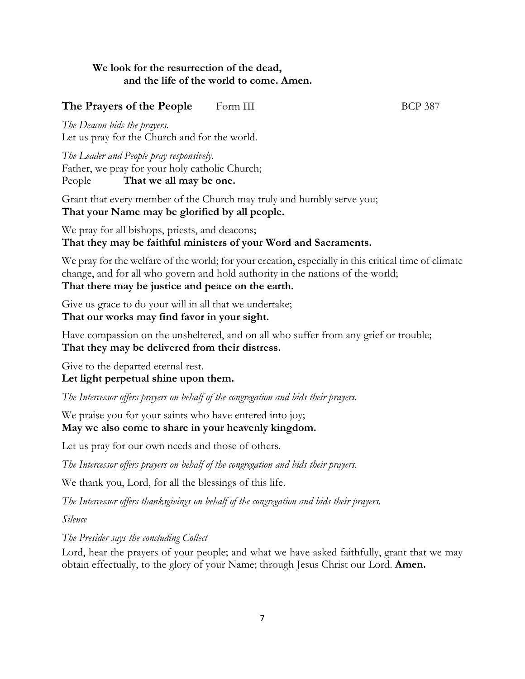#### **We look for the resurrection of the dead, and the life of the world to come. Amen.**

#### **The Prayers of the People** Form III BCP 387

*The Deacon bids the prayers.* Let us pray for the Church and for the world.

*The Leader and People pray responsively.* Father, we pray for your holy catholic Church; People **That we all may be one.**

Grant that every member of the Church may truly and humbly serve you; **That your Name may be glorified by all people.**

We pray for all bishops, priests, and deacons; **That they may be faithful ministers of your Word and Sacraments.**

We pray for the welfare of the world; for your creation, especially in this critical time of climate change, and for all who govern and hold authority in the nations of the world; **That there may be justice and peace on the earth.**

Give us grace to do your will in all that we undertake;

**That our works may find favor in your sight.**

Have compassion on the unsheltered, and on all who suffer from any grief or trouble; **That they may be delivered from their distress.**

Give to the departed eternal rest.

**Let light perpetual shine upon them.**

*The Intercessor offers prayers on behalf of the congregation and bids their prayers.*

We praise you for your saints who have entered into joy; **May we also come to share in your heavenly kingdom.**

Let us pray for our own needs and those of others.

*The Intercessor offers prayers on behalf of the congregation and bids their prayers.*

We thank you, Lord, for all the blessings of this life.

*The Intercessor offers thanksgivings on behalf of the congregation and bids their prayers.*

*Silence*

*The Presider says the concluding Collect*

Lord, hear the prayers of your people; and what we have asked faithfully, grant that we may obtain effectually, to the glory of your Name; through Jesus Christ our Lord. **Amen.**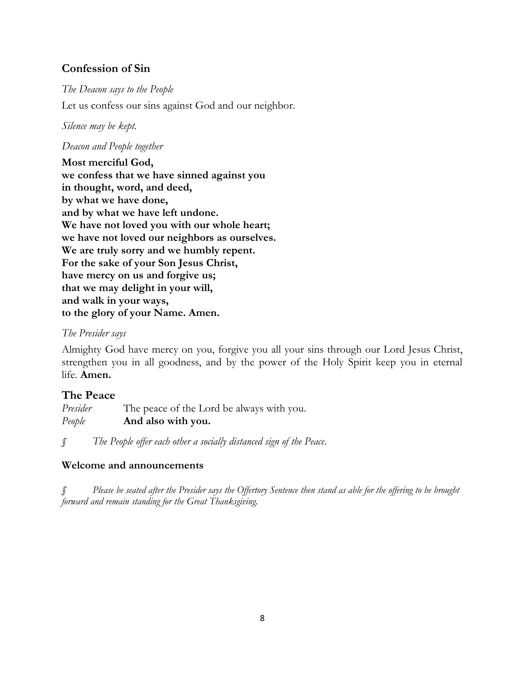# **Confession of Sin**

*The Deacon says to the People*

Let us confess our sins against God and our neighbor.

# *Silence may be kept.*

# *Deacon and People together*

**Most merciful God, we confess that we have sinned against you in thought, word, and deed, by what we have done, and by what we have left undone. We have not loved you with our whole heart; we have not loved our neighbors as ourselves. We are truly sorry and we humbly repent. For the sake of your Son Jesus Christ, have mercy on us and forgive us; that we may delight in your will, and walk in your ways, to the glory of your Name. Amen.**

## *The Presider says*

Almighty God have mercy on you, forgive you all your sins through our Lord Jesus Christ, strengthen you in all goodness, and by the power of the Holy Spirit keep you in eternal life. **Amen.**

# **The Peace**

| Presider | The peace of the Lord be always with you. |
|----------|-------------------------------------------|
| People   | And also with you.                        |

*§ The People offer each other a socially distanced sign of the Peace.*

# **Welcome and announcements**

*§ Please be seated after the Presider says the Offertory Sentence then stand as able for the offering to be brought forward and remain standing for the Great Thanksgiving.*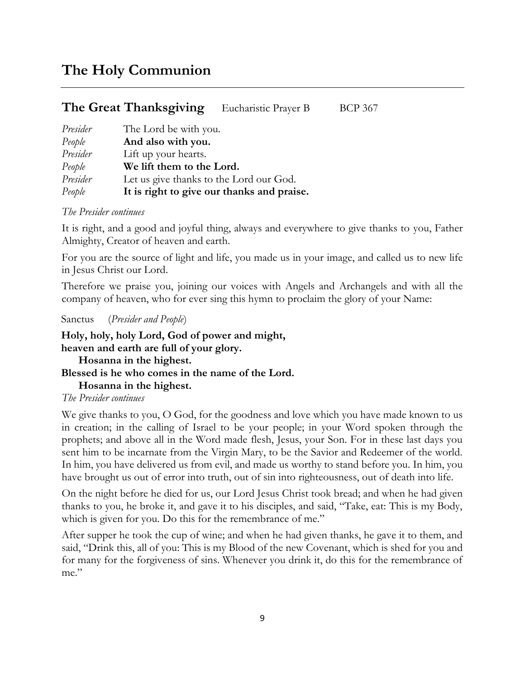## **The Great Thanksgiving** Eucharistic Prayer B BCP 367

| Presider | The Lord be with you.                      |
|----------|--------------------------------------------|
| People   | And also with you.                         |
| Presider | Lift up your hearts.                       |
| People   | We lift them to the Lord.                  |
| Presider | Let us give thanks to the Lord our God.    |
| People   | It is right to give our thanks and praise. |

*The Presider continues*

It is right, and a good and joyful thing, always and everywhere to give thanks to you, Father Almighty, Creator of heaven and earth.

For you are the source of light and life, you made us in your image, and called us to new life in Jesus Christ our Lord.

Therefore we praise you, joining our voices with Angels and Archangels and with all the company of heaven, who for ever sing this hymn to proclaim the glory of your Name:

Sanctus (*Presider and People*)

**Holy, holy, holy Lord, God of power and might, heaven and earth are full of your glory. Hosanna in the highest. Blessed is he who comes in the name of the Lord. Hosanna in the highest.** 

*The Presider continues*

We give thanks to you, O God, for the goodness and love which you have made known to us in creation; in the calling of Israel to be your people; in your Word spoken through the prophets; and above all in the Word made flesh, Jesus, your Son. For in these last days you sent him to be incarnate from the Virgin Mary, to be the Savior and Redeemer of the world. In him, you have delivered us from evil, and made us worthy to stand before you. In him, you have brought us out of error into truth, out of sin into righteousness, out of death into life.

On the night before he died for us, our Lord Jesus Christ took bread; and when he had given thanks to you, he broke it, and gave it to his disciples, and said, "Take, eat: This is my Body, which is given for you. Do this for the remembrance of me."

After supper he took the cup of wine; and when he had given thanks, he gave it to them, and said, "Drink this, all of you: This is my Blood of the new Covenant, which is shed for you and for many for the forgiveness of sins. Whenever you drink it, do this for the remembrance of me."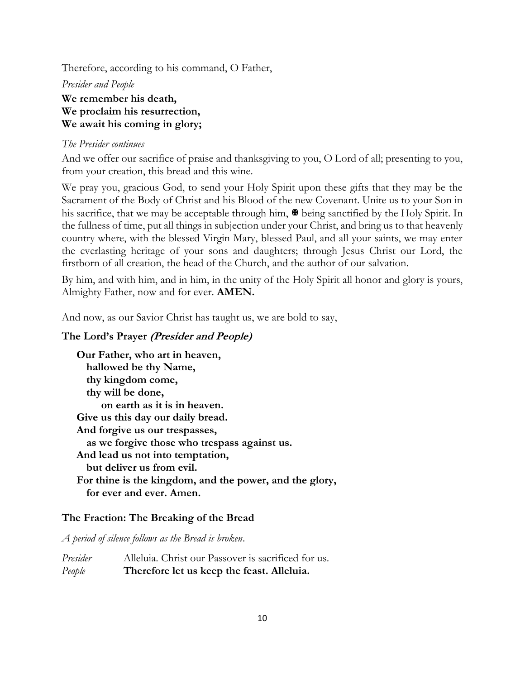Therefore, according to his command, O Father,

*Presider and People*

**We remember his death, We proclaim his resurrection, We await his coming in glory;**

#### *The Presider continues*

And we offer our sacrifice of praise and thanksgiving to you, O Lord of all; presenting to you, from your creation, this bread and this wine.

We pray you, gracious God, to send your Holy Spirit upon these gifts that they may be the Sacrament of the Body of Christ and his Blood of the new Covenant. Unite us to your Son in his sacrifice, that we may be acceptable through him,  $\mathbf{\mathfrak{B}}$  being sanctified by the Holy Spirit. In the fullness of time, put all things in subjection under your Christ, and bring us to that heavenly country where, with the blessed Virgin Mary, blessed Paul, and all your saints, we may enter the everlasting heritage of your sons and daughters; through Jesus Christ our Lord, the firstborn of all creation, the head of the Church, and the author of our salvation.

By him, and with him, and in him, in the unity of the Holy Spirit all honor and glory is yours, Almighty Father, now and for ever. **AMEN.**

And now, as our Savior Christ has taught us, we are bold to say,

#### **The Lord's Prayer (Presider and People)**

**Our Father, who art in heaven, hallowed be thy Name, thy kingdom come, thy will be done, on earth as it is in heaven. Give us this day our daily bread. And forgive us our trespasses, as we forgive those who trespass against us. And lead us not into temptation, but deliver us from evil. For thine is the kingdom, and the power, and the glory, for ever and ever. Amen.**

### **The Fraction: The Breaking of the Bread**

*A period of silence follows as the Bread is broken*.

*Presider* Alleluia. Christ our Passover is sacrificed for us. *People* **Therefore let us keep the feast. Alleluia.**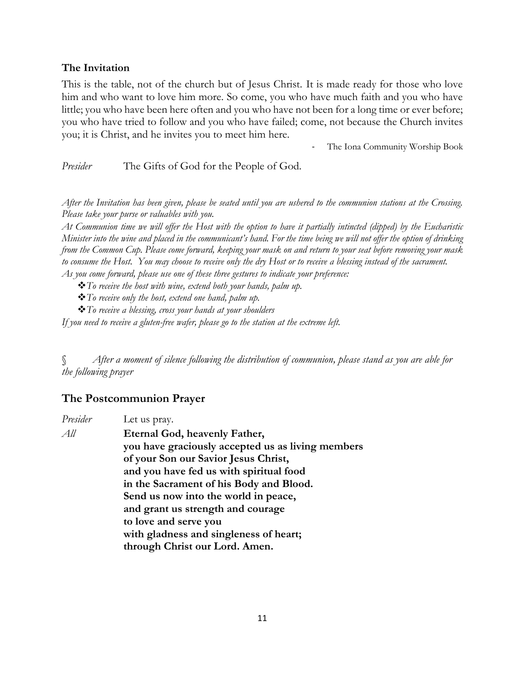#### **The Invitation**

This is the table, not of the church but of Jesus Christ. It is made ready for those who love him and who want to love him more. So come, you who have much faith and you who have little; you who have been here often and you who have not been for a long time or ever before; you who have tried to follow and you who have failed; come, not because the Church invites you; it is Christ, and he invites you to meet him here.

The Iona Community Worship Book

*Presider* The Gifts of God for the People of God.

*After the Invitation has been given, please be seated until you are ushered to the communion stations at the Crossing. Please take your purse or valuables with you.*

*At Communion time we will offer the Host with the option to have it partially intincted (dipped) by the Eucharistic Minister into the wine and placed in the communicant's hand. For the time being we will not offer the option of drinking from the Common Cup. Please come forward, keeping your mask on and return to your seat before removing your mask to consume the Host. You may choose to receive only the dry Host or to receive a blessing instead of the sacrament.*

*As you come forward, please use one of these three gestures to indicate your preference:*

❖*To receive the host with wine, extend both your hands, palm up.*

❖*To receive only the host, extend one hand, palm up.*

❖*To receive a blessing, cross your hands at your shoulders*

*If you need to receive a gluten-free wafer, please go to the station at the extreme left.*

§ *After a moment of silence following the distribution of communion, please stand as you are able for the following prayer*

#### **The Postcommunion Prayer**

| Presider | Let us pray.                                      |
|----------|---------------------------------------------------|
| All      | Eternal God, heavenly Father,                     |
|          | you have graciously accepted us as living members |
|          | of your Son our Savior Jesus Christ,              |
|          | and you have fed us with spiritual food           |
|          | in the Sacrament of his Body and Blood.           |
|          | Send us now into the world in peace,              |
|          | and grant us strength and courage                 |
|          | to love and serve you                             |
|          | with gladness and singleness of heart;            |
|          | through Christ our Lord. Amen.                    |
|          |                                                   |